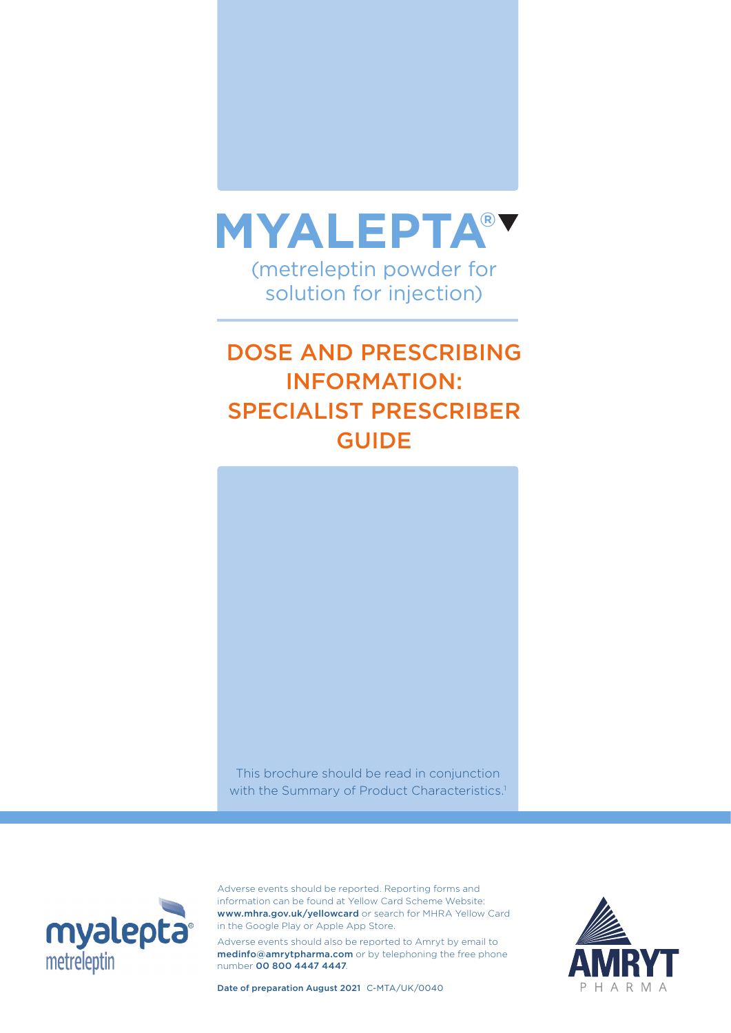

# DOSE AND PRESCRIBING INFORMATION: SPECIALIST PRESCRIBER GUIDE



This brochure should be read in conjunction with the Summary of Product Characteristics.<sup>1</sup>



Adverse events should be reported. Reporting forms and information can be found at Yellow Card Scheme Website: www.mhra.gov.uk/yellowcard or search for MHRA Yellow Card in the Google Play or Apple App Store.

Adverse events should also be reported to Amryt by email to medinfo@amrytpharma.com or by telephoning the free phone number 00 800 4447 4447.



Date of preparation August 2021 C-MTA/UK/0040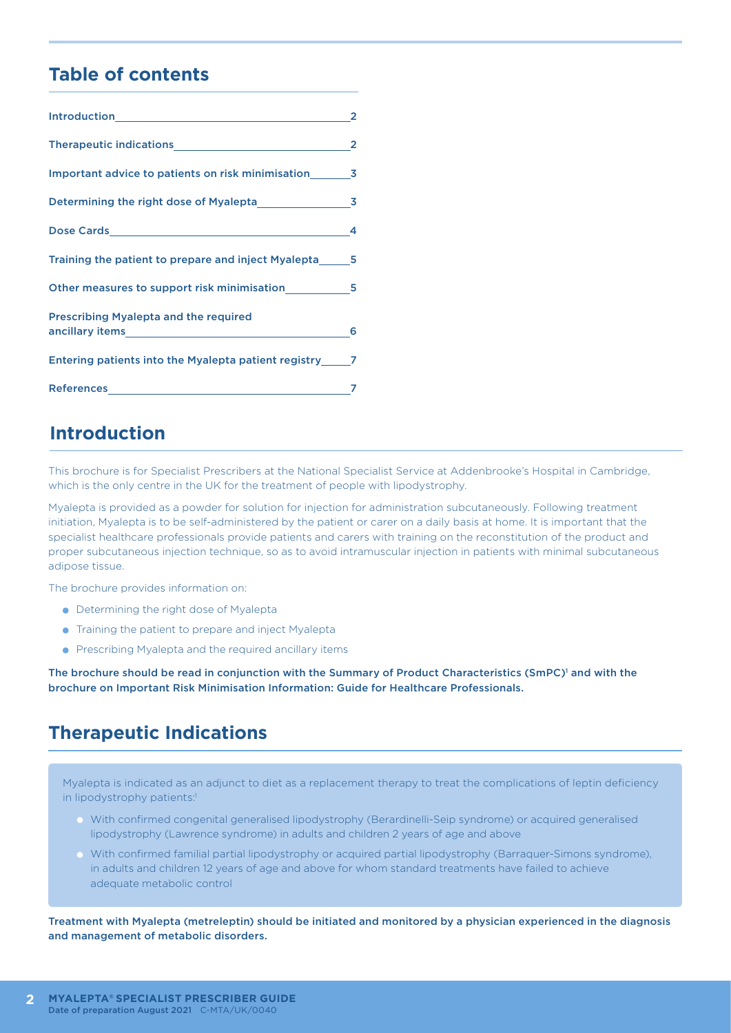### **Table of contents**

|                                                                                                                                                                                                                                                                                | 2 |
|--------------------------------------------------------------------------------------------------------------------------------------------------------------------------------------------------------------------------------------------------------------------------------|---|
|                                                                                                                                                                                                                                                                                | 2 |
| Important advice to patients on risk minimisation 3                                                                                                                                                                                                                            |   |
| Determining the right dose of Myalepta 3                                                                                                                                                                                                                                       |   |
|                                                                                                                                                                                                                                                                                | 4 |
| Training the patient to prepare and inject Myalepta 5                                                                                                                                                                                                                          |   |
| Other measures to support risk minimisation 5                                                                                                                                                                                                                                  |   |
| <b>Prescribing Myalepta and the required</b><br>ancillary items and the control of the control of the control of the control of the control of the control of the control of the control of the control of the control of the control of the control of the control of the con | 6 |
| Entering patients into the Myalepta patient registry 7                                                                                                                                                                                                                         |   |
| References and the contract of the contract of the contract of the contract of the contract of the contract of                                                                                                                                                                 |   |

### **Introduction**

This brochure is for Specialist Prescribers at the National Specialist Service at Addenbrooke's Hospital in Cambridge, which is the only centre in the UK for the treatment of people with lipodystrophy.

Myalepta is provided as a powder for solution for injection for administration subcutaneously. Following treatment initiation, Myalepta is to be self-administered by the patient or carer on a daily basis at home. It is important that the specialist healthcare professionals provide patients and carers with training on the reconstitution of the product and proper subcutaneous injection technique, so as to avoid intramuscular injection in patients with minimal subcutaneous adipose tissue.

The brochure provides information on:

- **•** Determining the right dose of Myalepta
- **•** Training the patient to prepare and inject Myalepta
- **•** Prescribing Myalepta and the required ancillary items

The brochure should be read in conjunction with the Summary of Product Characteristics (SmPC)<sup>1</sup> and with the brochure on Important Risk Minimisation Information: Guide for Healthcare Professionals.

### **Therapeutic Indications**

Myalepta is indicated as an adjunct to diet as a replacement therapy to treat the complications of leptin deficiency in lipodystrophy patients:<sup>1</sup>

- With confirmed congenital generalised lipodystrophy (Berardinelli-Seip syndrome) or acquired generalised lipodystrophy (Lawrence syndrome) in adults and children 2 years of age and above
- With confirmed familial partial lipodystrophy or acquired partial lipodystrophy (Barraquer-Simons syndrome), in adults and children 12 years of age and above for whom standard treatments have failed to achieve adequate metabolic control

Treatment with Myalepta (metreleptin) should be initiated and monitored by a physician experienced in the diagnosis and management of metabolic disorders.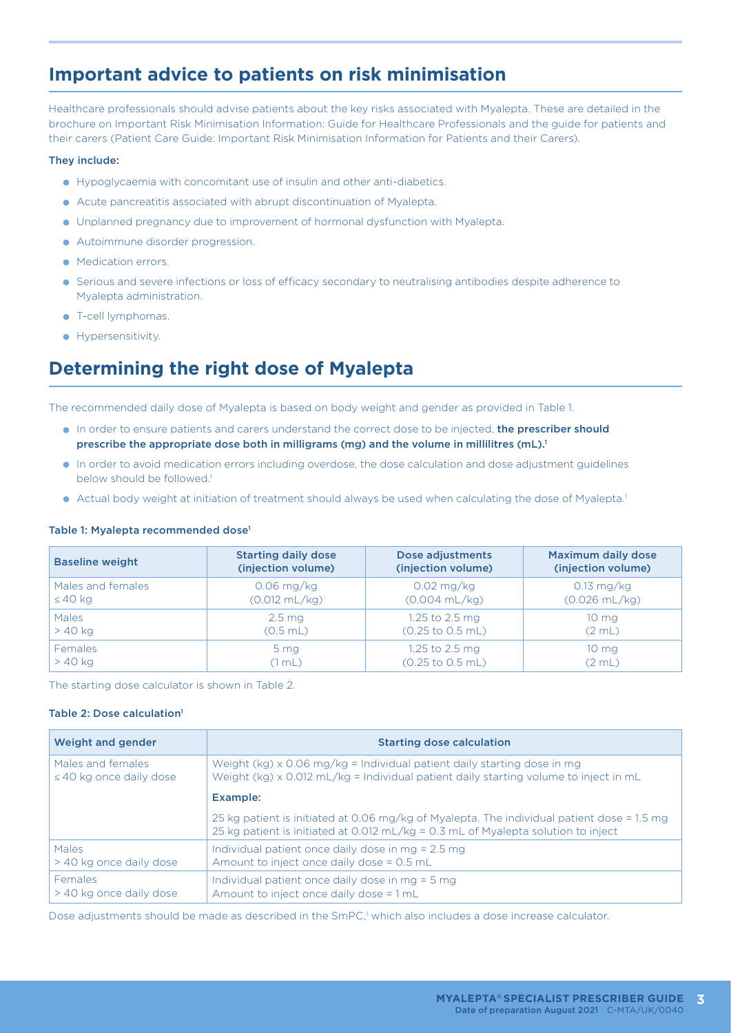# **Important advice to patients on risk minimisation**

Healthcare professionals should advise patients about the key risks associated with Myalepta. These are detailed in the brochure on Important Risk Minimisation Information: Guide for Healthcare Professionals and the guide for patients and their carers (Patient Care Guide: Important Risk Minimisation Information for Patients and their Carers).

#### They include:

- Hypoglycaemia with concomitant use of insulin and other anti-diabetics.
- Acute pancreatitis associated with abrupt discontinuation of Myalepta.
- Unplanned pregnancy due to improvement of hormonal dysfunction with Myalepta.
- Autoimmune disorder progression.
- Medication errors.
- Serious and severe infections or loss of efficacy secondary to neutralising antibodies despite adherence to Myalepta administration.
- $\bullet$  T-cell lymphomas.
- **•** Hypersensitivity.

### **Determining the right dose of Myalepta**

The recommended daily dose of Myalepta is based on body weight and gender as provided in Table 1.

- In order to ensure patients and carers understand the correct dose to be injected, the prescriber should prescribe the appropriate dose both in milligrams (mg) and the volume in millilitres (mL).<sup>1</sup>
- In order to avoid medication errors including overdose, the dose calculation and dose adjustment guidelines below should be followed.<sup>1</sup>
- Actual body weight at initiation of treatment should always be used when calculating the dose of Myalepta.<sup>1</sup>

#### Table 1: Myalepta recommended dose<sup>1</sup>

| <b>Baseline weight</b> | <b>Starting daily dose</b> | Dose adjustments                    | Maximum daily dose      |
|------------------------|----------------------------|-------------------------------------|-------------------------|
|                        | (injection volume)         | (injection volume)                  | (injection volume)      |
| Males and females      | $0.06$ mg/kg               | $0.02$ mg/kg                        | $0.13 \text{ mg/kg}$    |
| $\leq 40$ kg           | $(0.012 \text{ mL/kg})$    | $(0.004 \text{ mL/kg})$             | $(0.026 \text{ mL/kg})$ |
| <b>Males</b>           | 2.5 <sub>mg</sub>          | 1.25 to 2.5 mg                      | 10 <sub>mg</sub>        |
| $>40$ kg               | $(0.5$ mL)                 | $(0.25 \text{ to } 0.5 \text{ mL})$ | (2 mL)                  |
| <b>Females</b>         | 5 <sub>mg</sub>            | 1.25 to 2.5 mg                      | 10 <sub>mg</sub>        |
| $>40$ kg               | (1 mL)                     | $(0.25 \text{ to } 0.5 \text{ mL})$ | (2 mL)                  |

The starting dose calculator is shown in Table 2.

#### Table 2: Dose calculation<sup>1</sup>

| Weight and gender            | <b>Starting dose calculation</b>                                                                                                                                                |
|------------------------------|---------------------------------------------------------------------------------------------------------------------------------------------------------------------------------|
| Males and females            | Weight $(kg) \times 0.06$ mg/kg = Individual patient daily starting dose in mg                                                                                                  |
| $\leq$ 40 kg once daily dose | Weight (kg) $\times$ 0.012 mL/kg = Individual patient daily starting volume to inject in mL                                                                                     |
|                              | Example:                                                                                                                                                                        |
|                              | 25 kg patient is initiated at 0.06 mg/kg of Myalepta. The individual patient dose = 1.5 mg<br>25 kg patient is initiated at 0.012 mL/kg = 0.3 mL of Myalepta solution to inject |
| <b>Males</b>                 | Individual patient once daily dose in $mg = 2.5$ mg                                                                                                                             |
| > 40 kg once daily dose      | Amount to inject once daily dose = $0.5$ mL                                                                                                                                     |
| <b>Females</b>               | Individual patient once daily dose in $mg = 5 mg$                                                                                                                               |
| > 40 kg once daily dose      | Amount to inject once daily dose = 1 mL                                                                                                                                         |

Dose adjustments should be made as described in the SmPC,<sup>1</sup> which also includes a dose increase calculator.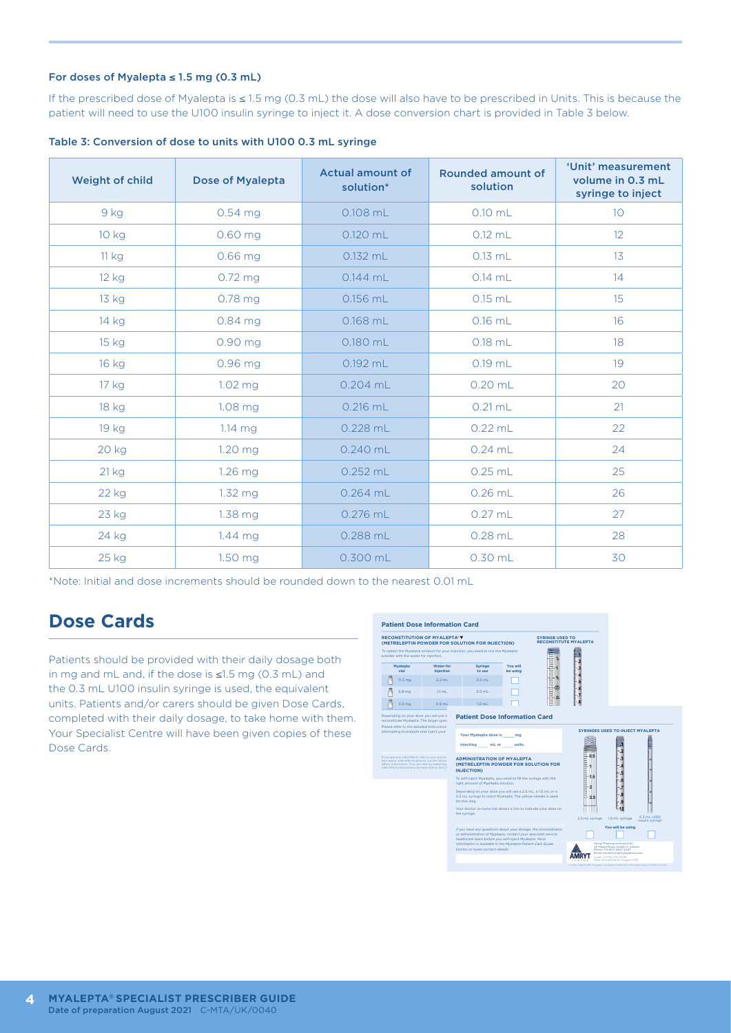#### For doses of Myalepta ≤ 1.5 mg (0.3 mL)

If the prescribed dose of Myalepta is ≤ 1.5 mg (0.3 mL) the dose will also have to be prescribed in Units. This is because the patient will need to use the U100 insulin syringe to inject it. A dose conversion chart is provided in Table 3 below.

| <b>Weight of child</b> | Dose of Myalepta | <b>Actual amount of</b><br>solution* | <b>Rounded amount of</b><br>solution | 'Unit' measurement<br>volume in 0.3 mL<br>syringe to inject |
|------------------------|------------------|--------------------------------------|--------------------------------------|-------------------------------------------------------------|
| 9 kg                   | 0.54 mg          | $0.108$ mL                           | $0.10$ mL                            | 10 <sup>°</sup>                                             |
| 10 kg                  | $0.60$ mg        | 0.120 mL                             | $0.12$ mL                            | 12                                                          |
| 11 kg                  | $0.66$ mg        | $0.132$ mL                           | $0.13$ mL                            | 13                                                          |
| 12 kg                  | 0.72 mg          | $0.144$ mL                           | $0.14$ mL                            | 14                                                          |
| 13 kg                  | $0.78$ mg        | 0.156 mL                             | $0.15$ mL                            | 15                                                          |
| 14 kg                  | 0.84 mg          | $0.168$ mL                           | $0.16$ mL                            | 16                                                          |
| 15 kg                  | 0.90 mg          | 0.180 mL                             | $0.18$ mL                            | 18                                                          |
| 16 kg                  | 0.96 mg          | 0.192 mL                             | $0.19$ mL                            | 19                                                          |
| 17 kg                  | 1.02 mg          | $0.204$ mL                           | $0.20$ mL                            | 20                                                          |
| 18 kg                  | 1.08 mg          | $0.216$ mL                           | $0.21$ mL                            | 21                                                          |
| 19 kg                  | $1.14$ mg        | 0.228 mL                             | $0.22$ mL                            | 22                                                          |
| 20 kg                  | 1.20 mg          | $0.240$ mL                           | $0.24$ mL                            | 24                                                          |
| 21 kg                  | 1.26 mg          | $0.252$ mL                           | $0.25$ mL                            | 25                                                          |
| 22 kg                  | $1.32$ mg        | $0.264$ mL                           | $0.26$ mL                            | 26                                                          |
| 23 kg                  | $1.38$ mg        | 0.276 mL                             | $0.27$ mL                            | 27                                                          |
| 24 kg                  | $1.44$ mg        | 0.288 mL                             | $0.28$ mL                            | 28                                                          |
| 25 kg                  | 1.50 mg          | 0.300 mL                             | 0.30 mL                              | 30                                                          |

Table 3: Conversion of dose to units with U100 0.3 mL syringe

\*Note: Initial and dose increments should be rounded down to the nearest 0.01 mL

### **Dose Cards**

Patients should be provided with their daily dosage both in mg and mL and, if the dose is ≤1.5 mg (0.3 mL) and the 0.3 mL U100 insulin syringe is used, the equivalent units. Patients and/or carers should be given Dose Cards, completed with their daily dosage, to take home with them. Your Specialist Centre will have been given copies of these Dose Cards.

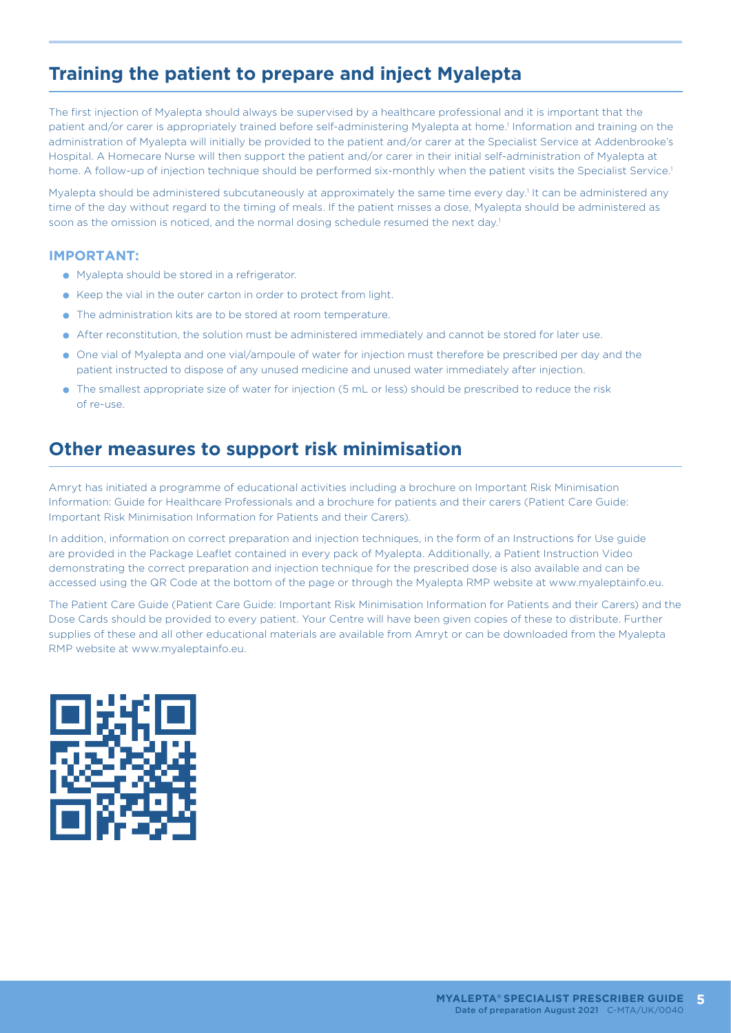# **Training the patient to prepare and inject Myalepta**

The first injection of Myalepta should always be supervised by a healthcare professional and it is important that the patient and/or carer is appropriately trained before self-administering Myalepta at home.<sup>1</sup> Information and training on the administration of Myalepta will initially be provided to the patient and/or carer at the Specialist Service at Addenbrooke's Hospital. A Homecare Nurse will then support the patient and/or carer in their initial self-administration of Myalepta at home. A follow-up of injection technique should be performed six-monthly when the patient visits the Specialist Service.1

Myalepta should be administered subcutaneously at approximately the same time every day.<sup>1</sup> It can be administered any time of the day without regard to the timing of meals. If the patient misses a dose, Myalepta should be administered as soon as the omission is noticed, and the normal dosing schedule resumed the next day.<sup>1</sup>

#### **IMPORTANT:**

- Myalepta should be stored in a refrigerator.
- Keep the vial in the outer carton in order to protect from light.
- **•** The administration kits are to be stored at room temperature.
- After reconstitution, the solution must be administered immediately and cannot be stored for later use.
- One vial of Myalepta and one vial/ampoule of water for injection must therefore be prescribed per day and the patient instructed to dispose of any unused medicine and unused water immediately after injection.
- The smallest appropriate size of water for injection (5 mL or less) should be prescribed to reduce the risk of re-use.

### **Other measures to support risk minimisation**

Amryt has initiated a programme of educational activities including a brochure on Important Risk Minimisation Information: Guide for Healthcare Professionals and a brochure for patients and their carers (Patient Care Guide: Important Risk Minimisation Information for Patients and their Carers).

In addition, information on correct preparation and injection techniques, in the form of an Instructions for Use guide are provided in the Package Leaflet contained in every pack of Myalepta. Additionally, a Patient Instruction Video demonstrating the correct preparation and injection technique for the prescribed dose is also available and can be accessed using the QR Code at the bottom of the page or through the Myalepta RMP website at www.myaleptainfo.eu.

The Patient Care Guide (Patient Care Guide: Important Risk Minimisation Information for Patients and their Carers) and the Dose Cards should be provided to every patient. Your Centre will have been given copies of these to distribute. Further supplies of these and all other educational materials are available from Amryt or can be downloaded from the Myalepta RMP website at www.myaleptainfo.eu.

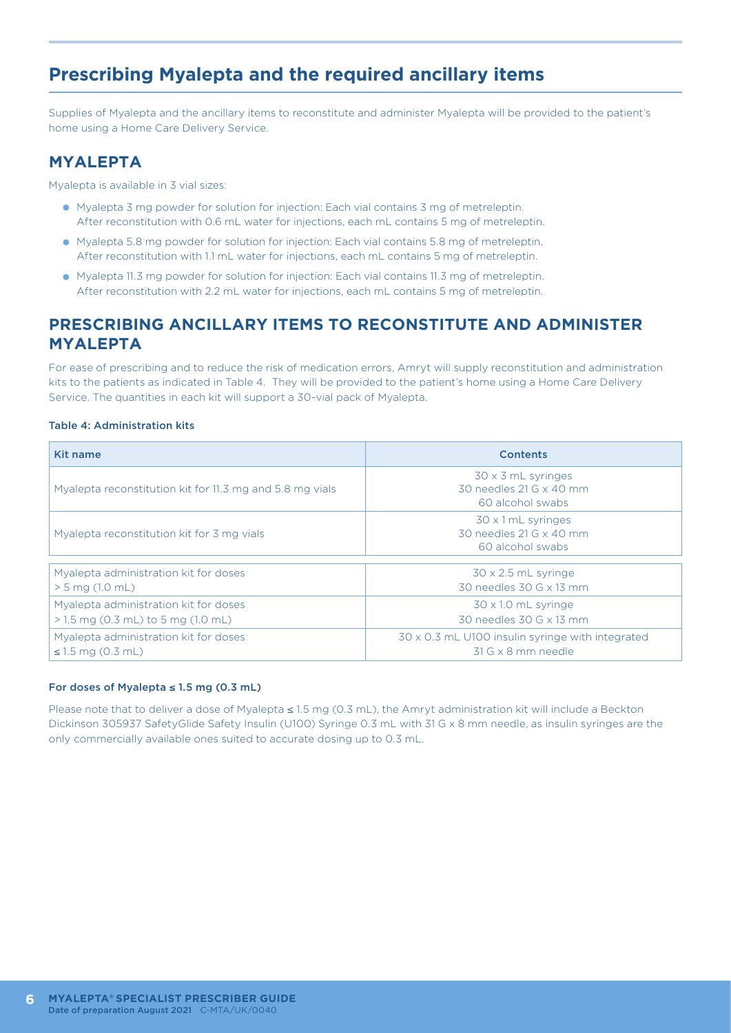# **Prescribing Myalepta and the required ancillary items**

Supplies of Myalepta and the ancillary items to reconstitute and administer Myalepta will be provided to the patient's home using a Home Care Delivery Service.

#### **MYALEPTA**

Myalepta is available in 3 vial sizes:

- Myalepta 3 mg powder for solution for injection: Each vial contains 3 mg of metreleptin. After reconstitution with 0.6 mL water for injections, each mL contains 5 mg of metreleptin.
- Myalepta 5.8 mg powder for solution for injection: Each vial contains 5.8 mg of metreleptin. After reconstitution with 1.1 mL water for injections, each mL contains 5 mg of metreleptin.
- Myalepta 11.3 mg powder for solution for injection: Each vial contains 11.3 mg of metreleptin. After reconstitution with 2.2 mL water for injections, each mL contains 5 mg of metreleptin.

#### **PRESCRIBING ANCILLARY ITEMS TO RECONSTITUTE AND ADMINISTER MYALEPTA**

For ease of prescribing and to reduce the risk of medication errors, Amryt will supply reconstitution and administration kits to the patients as indicated in Table 4. They will be provided to the patient's home using a Home Care Delivery Service. The quantities in each kit will support a 30-vial pack of Myalepta.

#### Table 4: Administration kits

| Kit name                                                 | <b>Contents</b>                                                          |
|----------------------------------------------------------|--------------------------------------------------------------------------|
| Myalepta reconstitution kit for 11.3 mg and 5.8 mg vials | $30 \times 3$ mL syringes<br>30 needles 21 G x 40 mm<br>60 alcohol swabs |
| Myalepta reconstitution kit for 3 mg vials               | 30 x 1 mL syringes<br>30 needles 21 G x 40 mm<br>60 alcohol swabs        |
| Myalepta administration kit for doses                    | $30 \times 2.5$ mL syringe                                               |
| $> 5$ mg (1.0 mL)                                        | 30 needles 30 G x 13 mm                                                  |
| Myalepta administration kit for doses                    | $30 \times 10$ mL syringe                                                |
| $>1.5$ mg (0.3 mL) to 5 mg (1.0 mL)                      | 30 needles 30 G x 13 mm                                                  |
| Myalepta administration kit for doses                    | 30 x 0.3 mL U100 insulin syringe with integrated                         |
| $\leq 1.5$ mg (0.3 mL)                                   | $31$ G $\times$ 8 mm needle                                              |

#### For doses of Myalepta ≤ 1.5 mg (0.3 mL)

Please note that to deliver a dose of Myalepta ≤ 1.5 mg (0.3 mL), the Amryt administration kit will include a Beckton Dickinson 305937 SafetyGlide Safety Insulin (U100) Syringe 0.3 mL with 31 G x 8 mm needle, as insulin syringes are the only commercially available ones suited to accurate dosing up to 0.3 mL.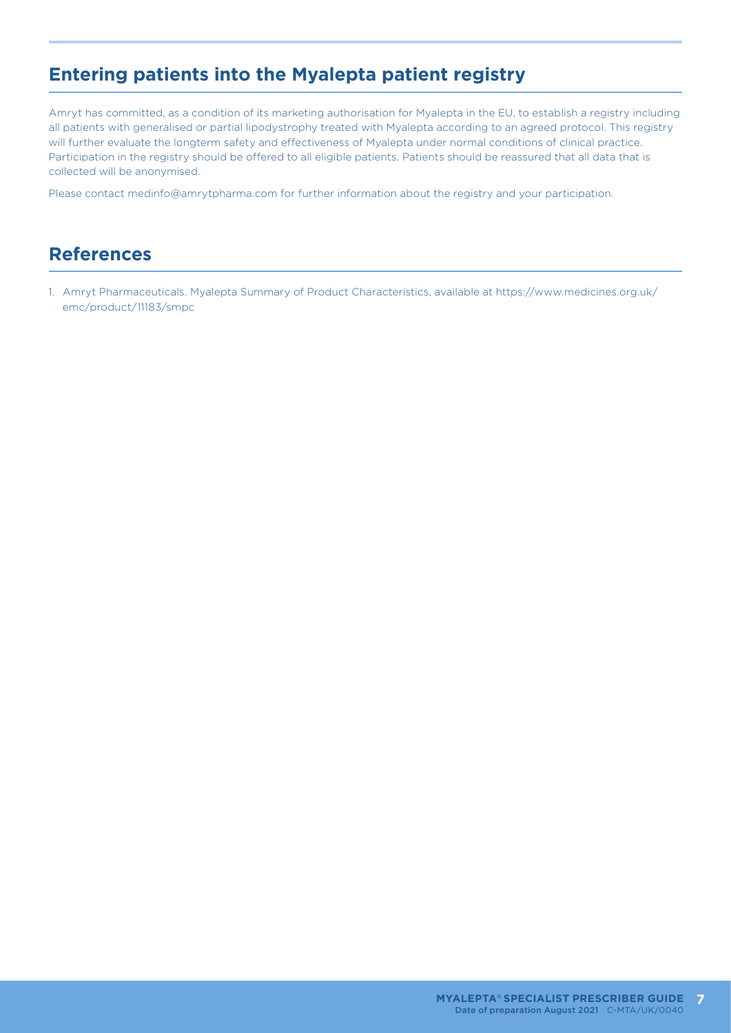# **Entering patients into the Myalepta patient registry**

Amryt has committed, as a condition of its marketing authorisation for Myalepta in the EU, to establish a registry including all patients with generalised or partial lipodystrophy treated with Myalepta according to an agreed protocol. This registry will further evaluate the longterm safety and effectiveness of Myalepta under normal conditions of clinical practice. Participation in the registry should be offered to all eligible patients. Patients should be reassured that all data that is collected will be anonymised.

Please contact medinfo@amrytpharma.com for further information about the registry and your participation.

### **References**

1. Amryt Pharmaceuticals. Myalepta Summary of Product Characteristics, available at https://www.medicines.org.uk/ emc/product/11183/smpc